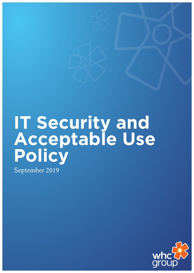# **IT Security and Acceptable Use Policy**

September 2019

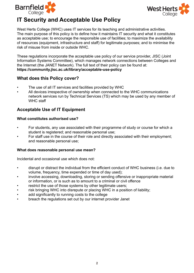



# **IT Security and Acceptable Use Policy**

West Herts College (WHC) uses IT services for its teaching and administrative activities. The main purpose of this policy is to define how it maintains IT security and what it constitutes as acceptable use; to encourage the responsible use of facilities; to maximize the availability of resources (equipment, infrastructure and staff) for legitimate purposes; and to minimise the risk of misuse from inside or outside WHC.

These regulations incorporate the acceptable use policy of our service provider, JISC (Joint Information Systems Committee), which manages network connections between Colleges and the Internet (the JANET Network). The full text of their policy can be found at: **https://community.jisc.ac.uk/library/acceptable-use-policy**

#### **What does this Policy cover?**

- The use of all IT services and facilities provided by WHC
- All devices irrespective of ownership when connected to the WHC communications network services run by Technical Services (TS) which may be used by any member of WHC staff

# **Acceptable Use of IT Equipment**

#### **What constitutes authorised use?**

- For students, any use associated with their programme of study or course for which a student is registered; and reasonable personal use;
- For staff use in the course of their role and directly associated with their employment; and reasonable personal use;

#### **What does reasonable personal use mean?**

Incidental and occasional use which does not:

- disrupt or distract the individual from the efficient conduct of WHC business (i.e. due to volume, frequency, time expended or time of day used);
- involve accessing, downloading, storing or sending offensive or inappropriate material or information, or is such as to amount to a criminal or civil offence
- restrict the use of those systems by other legitimate users;
- risk bringing WHC into disrepute or placing WHC in a position of liability;
- add significantly to running costs to the college
- breach the regulations set out by our internet provider Janet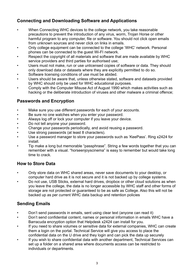# **Connecting and Downloading Software and Applications**

- When Connecting WHC devices to the college network, you take reasonable precautions to prevent the introduction of any virus, worm, Trojan Horse or other harmful program to any computer, file or software. You should not click open emails from unknown sources and never click on links in emails.
- Only college equipment can be connected to the college 'WHC' network. Personal phones can be connected to the guest Wi-FI network.
- Respect the copyright of all materials and software that are made available by WHC service providers and third parties for authorised use;
- Users must not make, run or use unlicensed copies of software or data. They should only download data or datasets where they are explicitly permitted to do so.
- Software licensing conditions of use must be abided.
- Users should be aware that, unless otherwise stated, software and datasets provided by WHC should only be used for WHC educational purposes.
- Comply with the Computer Misuse Act of August 1990 which makes activities such as hacking or the deliberate introduction of viruses and other malware a criminal offence;

# **Passwords and Encryption**

- Make sure you use different passwords for each of your accounts.
- Be sure no one watches when you enter your password.
- Always log off or lock your computer if you leave your device.
- Do not tell anyone your password.
- Change your passwords periodically, and avoid reusing a password.
- Use strong passwords (at least 8 characters).
- Use a password manager to store your passwords such as 'KeePass'. Ring x2424 for install.
- Tip make a long but memorable "passphrase". String a few words together that you can remember with a visual. "horseenjoyscinema" is easy to remember but would take long time to crack.

# **How to Store Data**

- Only store data on WHC shared areas, never save documents to your desktop, or computer hard drive as it is not secure and it is not backed up by college systems.
- Do not use, USB Sticks, external hard drives, dropbox or other cloud solutions as when you leave the college, the data is no longer accessible by WHC staff and other forms of storage are not protected or guaranteed to be as safe as College. Also this will not be backed up as per current WHC data backup and retention policies

#### **Sending Emails**

- Don't send passwords in emails, sent using clear text (anyone can read it)
- Don't send confidential content, names or personal information in emails WHC have a Barracuda encryption option that Helpdesk x2424 can install for you.
- If you need to share volumes or sensitive data for external companies, WHC can create them a login on the portal. Technical Service will give you access to place the confidential data on the U drive and they login and can pick the data up securely
- If you wish to share confidential data with another department, Technical Services can set up a folder on a shared area where documents access can be restricted to individuals or departments.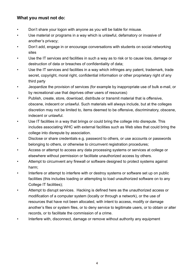#### **What you must not do:**

- Don't share your logon with anyone as you will be liable for misuse.
- Use material or programs in a way which is unlawful, defamatory or invasive of another's privacy;
- Don't add, engage in or encourage conversations with students on social networking sites
- Use the IT services and facilities in such a way as to risk or to cause loss, damage or destruction of data or breaches of confidentiality of data;
- Use the IT services and facilities in a way which infringes any patent, trademark, trade secret, copyright, moral right, confidential information or other proprietary right of any third party
- Jeopardize the provision of services (for example by inappropriate use of bulk e-mail, or by recreational use that deprives other users of resources)
- Publish, create, store, download, distribute or transmit material that is offensive, obscene, indecent or unlawful. Such materials will always include, but at the colleges discretion may not be limited to, items deemed to be offensive, discriminatory, obscene, indecent or unlawful.
- Use IT facilities in a way that brings or could bring the college into disrepute. This includes associating WHC with external facilities such as Web sites that could bring the college into disrepute by association.
- Disclose or share credentials e.g. password to others, or use accounts or passwords belonging to others, or otherwise to circumvent registration procedures;
- Access or attempt to access any data processing systems or services at college or elsewhere without permission or facilitate unauthorized access by others.
- Attempt to circumvent any firewall or software designed to protect systems against harm;
- Interfere or attempt to interfere with or destroy systems or software set up on public facilities (this includes loading or attempting to load unauthorized software on to any College IT facilities);
- Attempt to disrupt services. Hacking is defined here as the unauthorized access or modification of a computer system (locally or through a network), or the use of resources that have not been allocated, with intent to access, modify or damage another's files or system files, or to deny service to legitimate users, or to obtain or alter records, or to facilitate the commission of a crime.
- Interfere with, disconnect, damage or remove without authority any equipment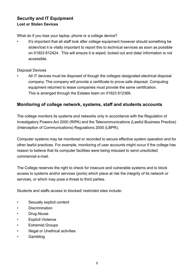# **Security and IT Equipment Lost or Stolen Devices**

What do if you lose your laptop, phone or a college device?

It's important that all staff look after college equipment however should something be stolen/lost it is vitally important to report this to technical services as soon as possible on 01923 812424. This will ensure it is wiped, locked out and data/ information is not accessible.

#### Disposal Devices

• All IT devices must be disposed of though the colleges designated electrical disposal company. The company will provide a certificate to prove safe disposal. Computing equipment returned to lease companies must provide the same certification. This is arranged through the Estates team on 01923 812366.

#### **Monitoring of college network, systems, staff and students accounts**

The college monitors its systems and networks only in accordance with the Regulation of Investigatory Powers Act 2000 (RIPA) and the Telecommunications (Lawful Business Practice) (Interception of Communications) Regulations 2000 (LBPR);

Computer systems may be monitored or recorded to secure effective system operation and for other lawful practices. For example, monitoring of user accounts might occur if the college has reason to believe that its computer facilities were being misused to send unsolicited commercial e-mail.

The College reserves the right to check for insecure and vulnerable systems and to block access to systems and/or services (ports) which place at risk the integrity of its network or services, or which may pose a threat to third parties.

Students and staffs access to blocked/ restricted sites include:

- Sexually explicit content
- **Discrimination**
- Drug Abuse
- **Explicit Violence**
- **Extremist Groups**
- **Illegal or Unethical activities**
- Gambling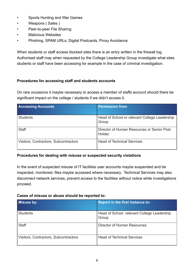- Sports Hunting and War Games
- Weapons ( Sales )
- Peer-to-peer File Sharing
- Malicious Websites
- Phishing, SPAM URLs, Digital Postcards, Proxy Avoidance

When students or staff access blocked sites there is an entry written in the firewall log. Authorised staff may when requested by the College Leadership Group investigate what sites students or staff have been accessing for example in the case of criminal investigation.

#### **Procedures for accessing staff and students accounts**

On rare occasions it maybe necessary to access a member of staffs account should there be significant impact on the college / students if we didn't access it.

| <b>Accessing Accounts</b>             | <b>Permission from</b>                                 |
|---------------------------------------|--------------------------------------------------------|
| <b>Students</b>                       | Head of School or relevant College Leadership<br>Group |
| <b>Staff</b>                          | Director of Human Resources or Senior Post<br>Holder.  |
| Visitors, Contractors, Subcontractors | <b>Head of Technical Services</b>                      |

#### **Procedures for dealing with misuse or suspected security violations**

In the event of suspected misuse of IT facilities user accounts maybe suspended and be inspected, monitored, files maybe accessed where necessary. Technical Services may also disconnect network services, prevent access to the facilities without notice while investigations proceed.

#### **Cases of misuse or abuse should be reported to:**

| Misuse by:                            | <b>Report in the first instance to:</b>             |
|---------------------------------------|-----------------------------------------------------|
| <b>Students</b>                       | Head of School relevant College Leadership<br>Group |
| <b>Staff</b>                          | Director of Human Resources                         |
| Visitors, Contractors, Subcontractors | <b>Head of Technical Services</b>                   |